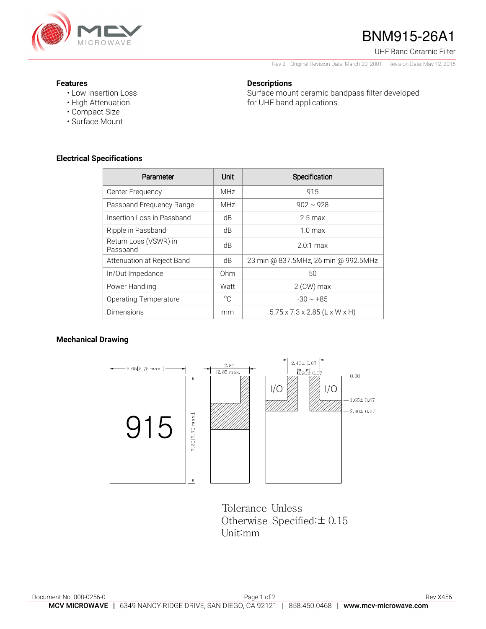

# BNM915-26A1

UHF Band Ceramic Filter

Rev 2– Original Revision Date: March 20, 2001 – Revision Date: May 12, 2015

Surface mount ceramic bandpass filter developed

#### **Features**

- Low Insertion Loss
- High Attenuation
- Compact Size
- Surface Mount

### **Electrical Specifications**

| Parameter                         | Unit            | Specification                             |
|-----------------------------------|-----------------|-------------------------------------------|
| Center Frequency                  | MH <sub>7</sub> | 915                                       |
| Passband Frequency Range          | MH <sub>7</sub> | $902 \sim 928$                            |
| Insertion Loss in Passband        | dB              | $2.5 \,\mathrm{max}$                      |
| Ripple in Passband                | dB              | $10 \text{ max}$                          |
| Return Loss (VSWR) in<br>Passband | dB              | $20.1 \text{ max}$                        |
| Attenuation at Reject Band        | dB              | 23 min @ 837.5MHz, 26 min @ 992.5MHz      |
| In/Out Impedance                  | 0hm             | 50                                        |
| Power Handling                    | Watt            | $2$ (CW) max                              |
| <b>Operating Temperature</b>      | $^{\circ}C$     | $-30 \sim +85$                            |
| Dimensions                        | mm              | $5.75 \times 7.3 \times 2.85$ (L x W x H) |

**Descriptions** 

for UHF band applications.

#### **Mechanical Drawing**



Tolerance Unless Otherwise Specified:± 0.15 Unit:mm